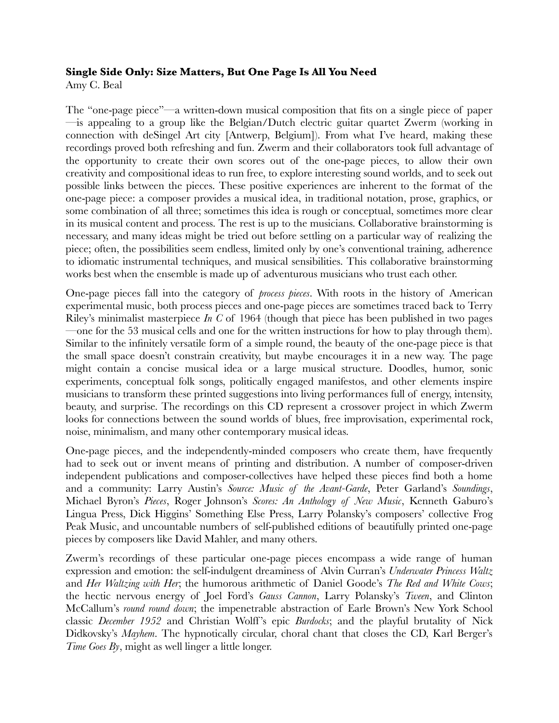#### **Single Side Only: Size Matters, But One Page Is All You Need**

Amy C. Beal

The "one-page piece"—a written-down musical composition that fits on a single piece of paper —is appealing to a group like the Belgian/Dutch electric guitar quartet Zwerm (working in connection with deSingel Art city [Antwerp, Belgium]). From what I've heard, making these recordings proved both refreshing and fun. Zwerm and their collaborators took full advantage of the opportunity to create their own scores out of the one-page pieces, to allow their own creativity and compositional ideas to run free, to explore interesting sound worlds, and to seek out possible links between the pieces. These positive experiences are inherent to the format of the one-page piece: a composer provides a musical idea, in traditional notation, prose, graphics, or some combination of all three; sometimes this idea is rough or conceptual, sometimes more clear in its musical content and process. The rest is up to the musicians. Collaborative brainstorming is necessary, and many ideas might be tried out before settling on a particular way of realizing the piece; often, the possibilities seem endless, limited only by one's conventional training, adherence to idiomatic instrumental techniques, and musical sensibilities. This collaborative brainstorming works best when the ensemble is made up of adventurous musicians who trust each other.

One-page pieces fall into the category of *process pieces*. With roots in the history of American experimental music, both process pieces and one-page pieces are sometimes traced back to Terry Riley's minimalist masterpiece *In C* of 1964 (though that piece has been published in two pages —one for the 53 musical cells and one for the written instructions for how to play through them). Similar to the infinitely versatile form of a simple round, the beauty of the one-page piece is that the small space doesn't constrain creativity, but maybe encourages it in a new way. The page might contain a concise musical idea or a large musical structure. Doodles, humor, sonic experiments, conceptual folk songs, politically engaged manifestos, and other elements inspire musicians to transform these printed suggestions into living performances full of energy, intensity, beauty, and surprise. The recordings on this CD represent a crossover project in which Zwerm looks for connections between the sound worlds of blues, free improvisation, experimental rock, noise, minimalism, and many other contemporary musical ideas.

One-page pieces, and the independently-minded composers who create them, have frequently had to seek out or invent means of printing and distribution. A number of composer-driven independent publications and composer-collectives have helped these pieces find both a home and a community: Larry Austin's *Source: Music of the Avant-Garde*, Peter Garland's *Soundings*, Michael Byron's *Pieces*, Roger Johnson's *Scores: An Anthology of New Music*, Kenneth Gaburo's Lingua Press, Dick Higgins' Something Else Press, Larry Polansky's composers' collective Frog Peak Music, and uncountable numbers of self-published editions of beautifully printed one-page pieces by composers like David Mahler, and many others.

Zwerm's recordings of these particular one-page pieces encompass a wide range of human expression and emotion: the self-indulgent dreaminess of Alvin Curran's *Underwater Princess Waltz* and *Her Waltzing with Her*; the humorous arithmetic of Daniel Goode's *The Red and White Cows*; the hectic nervous energy of Joel Ford's *Gauss Cannon*, Larry Polansky's *Tween*, and Clinton McCallum's *round round down*; the impenetrable abstraction of Earle Brown's New York School classic *December 1952* and Christian Wolff's epic *Burdocks*; and the playful brutality of Nick Didkovsky's *Mayhem*. The hypnotically circular, choral chant that closes the CD, Karl Berger's *Time Goes By*, might as well linger a little longer.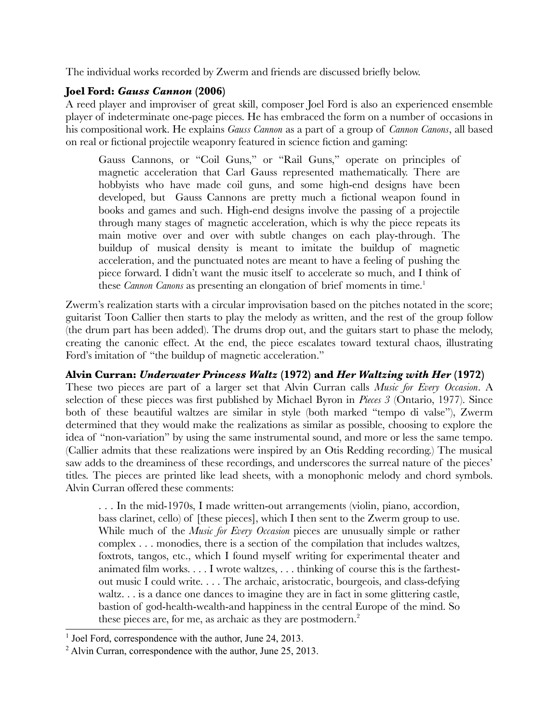The individual works recorded by Zwerm and friends are discussed briefly below.

# **Joel Ford:** *Gauss Cannon* **(2006)**

A reed player and improviser of great skill, composer Joel Ford is also an experienced ensemble player of indeterminate one-page pieces. He has embraced the form on a number of occasions in his compositional work. He explains *Gauss Cannon* as a part of a group of *Cannon Canons*, all based on real or fictional projectile weaponry featured in science fiction and gaming:

Gauss Cannons, or "Coil Guns," or "Rail Guns," operate on principles of magnetic acceleration that Carl Gauss represented mathematically. There are hobbyists who have made coil guns, and some high-end designs have been developed, but Gauss Cannons are pretty much a fictional weapon found in books and games and such. High-end designs involve the passing of a projectile through many stages of magnetic acceleration, which is why the piece repeats its main motive over and over with subtle changes on each play-through. The buildup of musical density is meant to imitate the buildup of magnetic acceleration, and the punctuated notes are meant to have a feeling of pushing the piece forward. I didn't want the music itself to accelerate so much, and I think of these *Cannon Canons* as presenting an elongation of brief moments in time.<sup>1</sup>

Zwerm's realization starts with a circular improvisation based on the pitches notated in the score; guitarist Toon Callier then starts to play the melody as written, and the rest of the group follow (the drum part has been added). The drums drop out, and the guitars start to phase the melody, creating the canonic effect. At the end, the piece escalates toward textural chaos, illustrating Ford's imitation of "the buildup of magnetic acceleration."

# **Alvin Curran:** *Underwater Princess Waltz* **(1972) and** *Her Waltzing with Her* **(1972)**

These two pieces are part of a larger set that Alvin Curran calls *Music for Every Occasion*. A selection of these pieces was first published by Michael Byron in *Pieces 3* (Ontario, 1977). Since both of these beautiful waltzes are similar in style (both marked "tempo di valse"), Zwerm determined that they would make the realizations as similar as possible, choosing to explore the idea of "non-variation" by using the same instrumental sound, and more or less the same tempo. (Callier admits that these realizations were inspired by an Otis Redding recording.) The musical saw adds to the dreaminess of these recordings, and underscores the surreal nature of the pieces' titles. The pieces are printed like lead sheets, with a monophonic melody and chord symbols. Alvin Curran offered these comments:

. . . In the mid-1970s, I made written-out arrangements (violin, piano, accordion, bass clarinet, cello) of [these pieces], which I then sent to the Zwerm group to use. While much of the *Music for Every Occasion* pieces are unusually simple or rather complex . . . monodies, there is a section of the compilation that includes waltzes, foxtrots, tangos, etc., which I found myself writing for experimental theater and animated film works. . . . I wrote waltzes, . . . thinking of course this is the farthestout music I could write. . . . The archaic, aristocratic, bourgeois, and class-defying waltz. . . is a dance one dances to imagine they are in fact in some glittering castle, bastion of god-health-wealth-and happiness in the central Europe of the mind. So these pieces are, for me, as archaic as they are postmodern.<sup>2</sup>

<sup>&</sup>lt;sup>1</sup> Joel Ford, correspondence with the author, June 24, 2013.

<sup>&</sup>lt;sup>2</sup> Alvin Curran, correspondence with the author, June 25, 2013.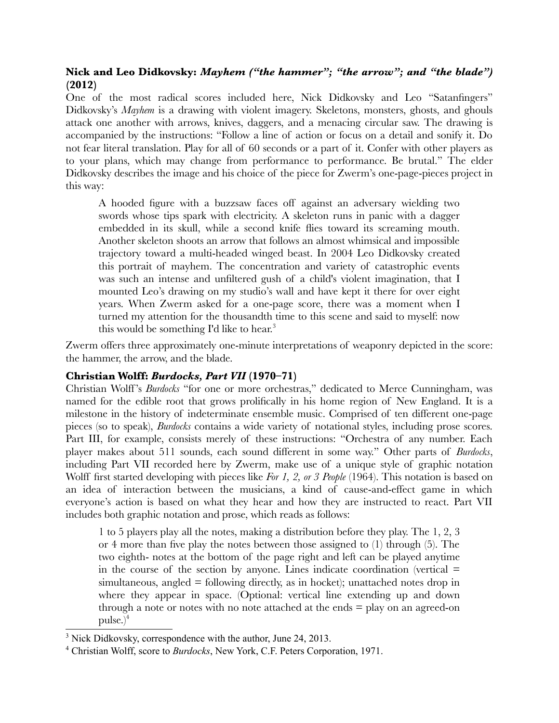# **Nick and Leo Didkovsky:** *Mayhem ("the hammer"; "the arrow"; and "the blade")* **(2012)**

One of the most radical scores included here, Nick Didkovsky and Leo "Satanfingers" Didkovsky's *Mayhem* is a drawing with violent imagery. Skeletons, monsters, ghosts, and ghouls attack one another with arrows, knives, daggers, and a menacing circular saw. The drawing is accompanied by the instructions: "Follow a line of action or focus on a detail and sonify it. Do not fear literal translation. Play for all of 60 seconds or a part of it. Confer with other players as to your plans, which may change from performance to performance. Be brutal." The elder Didkovsky describes the image and his choice of the piece for Zwerm's one-page-pieces project in this way:

A hooded figure with a buzzsaw faces off against an adversary wielding two swords whose tips spark with electricity. A skeleton runs in panic with a dagger embedded in its skull, while a second knife flies toward its screaming mouth. Another skeleton shoots an arrow that follows an almost whimsical and impossible trajectory toward a multi-headed winged beast. In 2004 Leo Didkovsky created this portrait of mayhem. The concentration and variety of catastrophic events was such an intense and unfiltered gush of a child's violent imagination, that I mounted Leo's drawing on my studio's wall and have kept it there for over eight years. When Zwerm asked for a one-page score, there was a moment when I turned my attention for the thousandth time to this scene and said to myself: now this would be something I'd like to hear.<sup>3</sup>

Zwerm offers three approximately one-minute interpretations of weaponry depicted in the score: the hammer, the arrow, and the blade.

# **Christian Wolff:** *Burdocks, Part VII* **(1970–71)**

Christian Wolff 's *Burdocks* "for one or more orchestras," dedicated to Merce Cunningham, was named for the edible root that grows prolifically in his home region of New England. It is a milestone in the history of indeterminate ensemble music. Comprised of ten different one-page pieces (so to speak), *Burdocks* contains a wide variety of notational styles, including prose scores. Part III, for example, consists merely of these instructions: "Orchestra of any number. Each player makes about 511 sounds, each sound different in some way." Other parts of *Burdocks*, including Part VII recorded here by Zwerm, make use of a unique style of graphic notation Wolff first started developing with pieces like *For 1, 2, or 3 People* (1964). This notation is based on an idea of interaction between the musicians, a kind of cause-and-effect game in which everyone's action is based on what they hear and how they are instructed to react. Part VII includes both graphic notation and prose, which reads as follows:

1 to 5 players play all the notes, making a distribution before they play. The 1, 2, 3 or 4 more than five play the notes between those assigned to (1) through (5). The two eighth- notes at the bottom of the page right and left can be played anytime in the course of the section by anyone. Lines indicate coordination (vertical  $=$  $simultaneous, angled = following directly, as in hockey; unattached notes drop in$ where they appear in space. (Optional: vertical line extending up and down through a note or notes with no note attached at the ends  $=$  play on an agreed-on pulse.) $4$ 

<sup>&</sup>lt;sup>3</sup> Nick Didkovsky, correspondence with the author, June 24, 2013.

<sup>4</sup> Christian Wolff, score to *Burdocks*, New York, C.F. Peters Corporation, 1971.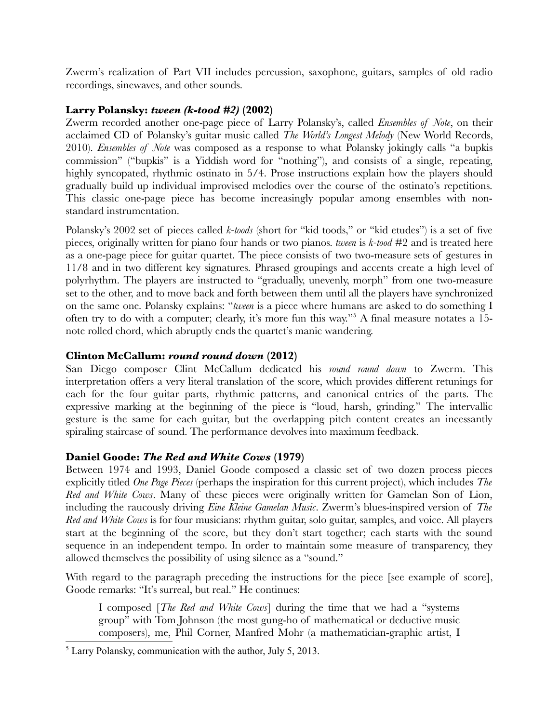Zwerm's realization of Part VII includes percussion, saxophone, guitars, samples of old radio recordings, sinewaves, and other sounds.

### **Larry Polansky:** *tween (k-tood #2)* **(2002)**

Zwerm recorded another one-page piece of Larry Polansky's, called *Ensembles of Note*, on their acclaimed CD of Polansky's guitar music called *The World's Longest Melody* (New World Records, 2010). *Ensembles of Note* was composed as a response to what Polansky jokingly calls "a bupkis commission" ("bupkis" is a Yiddish word for "nothing"), and consists of a single, repeating, highly syncopated, rhythmic ostinato in 5/4. Prose instructions explain how the players should gradually build up individual improvised melodies over the course of the ostinato's repetitions. This classic one-page piece has become increasingly popular among ensembles with nonstandard instrumentation.

Polansky's 2002 set of pieces called *k-toods* (short for "kid toods," or "kid etudes") is a set of five pieces, originally written for piano four hands or two pianos. *tween* is *k-tood* #2 and is treated here as a one-page piece for guitar quartet. The piece consists of two two-measure sets of gestures in 11/8 and in two different key signatures. Phrased groupings and accents create a high level of polyrhythm. The players are instructed to "gradually, unevenly, morph" from one two-measure set to the other, and to move back and forth between them until all the players have synchronized on the same one. Polansky explains: "*tween* is a piece where humans are asked to do something I often try to do with a computer; clearly, it's more fun this way."5 A final measure notates a 15 note rolled chord, which abruptly ends the quartet's manic wandering.

## **Clinton McCallum:** *round round down* **(2012)**

San Diego composer Clint McCallum dedicated his *round round down* to Zwerm. This interpretation offers a very literal translation of the score, which provides different retunings for each for the four guitar parts, rhythmic patterns, and canonical entries of the parts. The expressive marking at the beginning of the piece is "loud, harsh, grinding." The intervallic gesture is the same for each guitar, but the overlapping pitch content creates an incessantly spiraling staircase of sound. The performance devolves into maximum feedback.

# **Daniel Goode:** *The Red and White Cows* **(1979)**

Between 1974 and 1993, Daniel Goode composed a classic set of two dozen process pieces explicitly titled *One Page Pieces* (perhaps the inspiration for this current project), which includes *The Red and White Cows*. Many of these pieces were originally written for Gamelan Son of Lion, including the raucously driving *Eine Kleine Gamelan Music*. Zwerm's blues-inspired version of *The Red and White Cows* is for four musicians: rhythm guitar, solo guitar, samples, and voice. All players start at the beginning of the score, but they don't start together; each starts with the sound sequence in an independent tempo. In order to maintain some measure of transparency, they allowed themselves the possibility of using silence as a "sound."

With regard to the paragraph preceding the instructions for the piece [see example of score], Goode remarks: "It's surreal, but real." He continues:

I composed [*The Red and White Cows*] during the time that we had a "systems group" with Tom Johnson (the most gung-ho of mathematical or deductive music composers), me, Phil Corner, Manfred Mohr (a mathematician-graphic artist, I

<sup>&</sup>lt;sup>5</sup> Larry Polansky, communication with the author, July 5, 2013.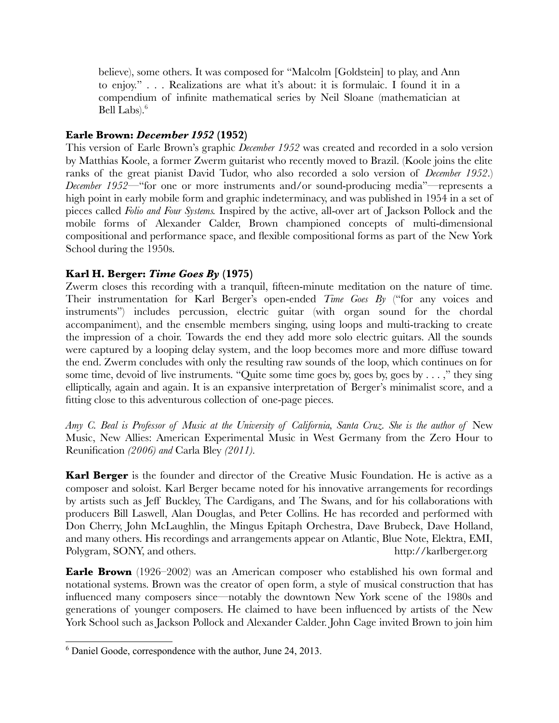believe), some others. It was composed for "Malcolm [Goldstein] to play, and Ann to enjoy." . . . Realizations are what it's about: it is formulaic. I found it in a compendium of infinite mathematical series by Neil Sloane (mathematician at Bell Labs).<sup>6</sup>

# **Earle Brown:** *December 1952* **(1952)**

This version of Earle Brown's graphic *December 1952* was created and recorded in a solo version by Matthias Koole, a former Zwerm guitarist who recently moved to Brazil. (Koole joins the elite ranks of the great pianist David Tudor, who also recorded a solo version of *December 1952*.) *December 1952*—"for one or more instruments and/or sound-producing media"—represents a high point in early mobile form and graphic indeterminacy, and was published in 1954 in a set of pieces called *Folio and Four Systems.* Inspired by the active, all-over art of Jackson Pollock and the mobile forms of Alexander Calder, Brown championed concepts of multi-dimensional compositional and performance space, and flexible compositional forms as part of the New York School during the 1950s.

# **Karl H. Berger:** *Time Goes By* **(1975)**

Zwerm closes this recording with a tranquil, fifteen-minute meditation on the nature of time. Their instrumentation for Karl Berger's open-ended *Time Goes By* ("for any voices and instruments") includes percussion, electric guitar (with organ sound for the chordal accompaniment), and the ensemble members singing, using loops and multi-tracking to create the impression of a choir. Towards the end they add more solo electric guitars. All the sounds were captured by a looping delay system, and the loop becomes more and more diffuse toward the end. Zwerm concludes with only the resulting raw sounds of the loop, which continues on for some time, devoid of live instruments. "Quite some time goes by, goes by, goes by  $\dots$ ," they sing elliptically, again and again. It is an expansive interpretation of Berger's minimalist score, and a fitting close to this adventurous collection of one-page pieces.

Amy C. Beal is Professor of Music at the University of California, Santa Cruz. She is the author of New Music, New Allies: American Experimental Music in West Germany from the Zero Hour to Reunification *(2006) and* Carla Bley *(2011).*

**Karl Berger** is the founder and director of the Creative Music Foundation. He is active as a composer and soloist. Karl Berger became noted for his innovative arrangements for recordings by artists such as Jeff Buckley, The Cardigans, and The Swans, and for his collaborations with producers Bill Laswell, Alan Douglas, and Peter Collins. He has recorded and performed with Don Cherry, John McLaughlin, the Mingus Epitaph Orchestra, Dave Brubeck, Dave Holland, and many others. His recordings and arrangements appear on Atlantic, Blue Note, Elektra, EMI, Polygram, SONY, and others. http://karlberger.org

**Earle Brown** (1926–2002) was an American composer who established his own formal and notational systems. Brown was the creator of open form, a style of musical construction that has influenced many composers since—notably the downtown New York scene of the 1980s and generations of younger composers. He claimed to have been influenced by artists of the New York School such as Jackson Pollock and Alexander Calder. John Cage invited Brown to join him

<sup>6</sup> Daniel Goode, correspondence with the author, June 24, 2013.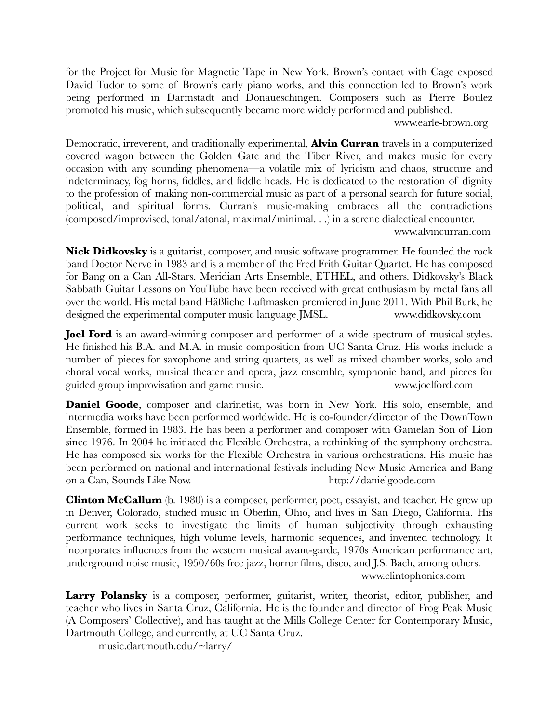for the Project for Music for Magnetic Tape in New York. Brown's contact with Cage exposed David Tudor to some of Brown's early piano works, and this connection led to Brown's work being performed in Darmstadt and Donaueschingen. Composers such as Pierre Boulez promoted his music, which subsequently became more widely performed and published.

www.earle-brown.org

Democratic, irreverent, and traditionally experimental, **Alvin Curran** travels in a computerized covered wagon between the Golden Gate and the Tiber River, and makes music for every occasion with any sounding phenomena—a volatile mix of lyricism and chaos, structure and indeterminacy, fog horns, fiddles, and fiddle heads. He is dedicated to the restoration of dignity to the profession of making non-commercial music as part of a personal search for future social, political, and spiritual forms. Curran's music-making embraces all the contradictions (composed/improvised, tonal/atonal, maximal/minimal. . .) in a serene dialectical encounter.

www.alvincurran.com

**Nick Didkovsky** is a guitarist, composer, and music software programmer. He founded the rock band Doctor Nerve in 1983 and is a member of the Fred Frith Guitar Quartet. He has composed for Bang on a Can All-Stars, Meridian Arts Ensemble, ETHEL, and others. Didkovsky's Black Sabbath Guitar Lessons on YouTube have been received with great enthusiasm by metal fans all over the world. His metal band Häßliche Luftmasken premiered in June 2011. With Phil Burk, he designed the experimental computer music language JMSL. www.didkovsky.com

**Joel Ford** is an award-winning composer and performer of a wide spectrum of musical styles. He finished his B.A. and M.A. in music composition from UC Santa Cruz. His works include a number of pieces for saxophone and string quartets, as well as mixed chamber works, solo and choral vocal works, musical theater and opera, jazz ensemble, symphonic band, and pieces for guided group improvisation and game music. www.joelford.com

**Daniel Goode**, composer and clarinetist, was born in New York. His solo, ensemble, and intermedia works have been performed worldwide. He is co-founder/director of the DownTown Ensemble, formed in 1983. He has been a performer and composer with Gamelan Son of Lion since 1976. In 2004 he initiated the Flexible Orchestra, a rethinking of the symphony orchestra. He has composed six works for the Flexible Orchestra in various orchestrations. His music has been performed on national and international festivals including New Music America and Bang on a Can, Sounds Like Now. http://danielgoode.com

**Clinton McCallum** (b. 1980) is a composer, performer, poet, essayist, and teacher. He grew up in Denver, Colorado, studied music in Oberlin, Ohio, and lives in San Diego, California. His current work seeks to investigate the limits of human subjectivity through exhausting performance techniques, high volume levels, harmonic sequences, and invented technology. It incorporates influences from the western musical avant-garde, 1970s American performance art, underground noise music, 1950/60s free jazz, horror films, disco, and J.S. Bach, among others. www.clintophonics.com

**Larry Polansky** is a composer, performer, guitarist, writer, theorist, editor, publisher, and teacher who lives in Santa Cruz, California. He is the founder and director of Frog Peak Music (A Composers' Collective), and has taught at the Mills College Center for Contemporary Music, Dartmouth College, and currently, at UC Santa Cruz.

music.dartmouth.edu/~larry/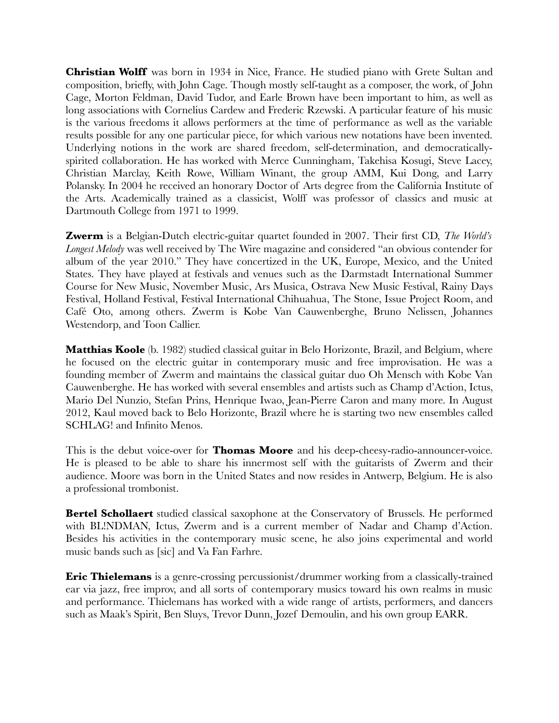**Christian Wolff** was born in 1934 in Nice, France. He studied piano with Grete Sultan and composition, briefly, with John Cage. Though mostly self-taught as a composer, the work, of John Cage, Morton Feldman, David Tudor, and Earle Brown have been important to him, as well as long associations with Cornelius Cardew and Frederic Rzewski. A particular feature of his music is the various freedoms it allows performers at the time of performance as well as the variable results possible for any one particular piece, for which various new notations have been invented. Underlying notions in the work are shared freedom, self-determination, and democraticallyspirited collaboration. He has worked with Merce Cunningham, Takehisa Kosugi, Steve Lacey, Christian Marclay, Keith Rowe, William Winant, the group AMM, Kui Dong, and Larry Polansky. In 2004 he received an honorary Doctor of Arts degree from the California Institute of the Arts. Academically trained as a classicist, Wolff was professor of classics and music at Dartmouth College from 1971 to 1999.

**Zwerm** is a Belgian-Dutch electric-guitar quartet founded in 2007. Their first CD, *The World's Longest Melody* was well received by The Wire magazine and considered "an obvious contender for album of the year 2010." They have concertized in the UK, Europe, Mexico, and the United States. They have played at festivals and venues such as the Darmstadt International Summer Course for New Music, November Music, Ars Musica, Ostrava New Music Festival, Rainy Days Festival, Holland Festival, Festival International Chihuahua, The Stone, Issue Project Room, and Café Oto, among others. Zwerm is Kobe Van Cauwenberghe, Bruno Nelissen, Johannes Westendorp, and Toon Callier.

**Matthias Koole** (b. 1982) studied classical guitar in Belo Horizonte, Brazil, and Belgium, where he focused on the electric guitar in contemporary music and free improvisation. He was a founding member of Zwerm and maintains the classical guitar duo Oh Mensch with Kobe Van Cauwenberghe. He has worked with several ensembles and artists such as Champ d'Action, Ictus, Mario Del Nunzio, Stefan Prins, Henrique Iwao, Jean-Pierre Caron and many more. In August 2012, Kaul moved back to Belo Horizonte, Brazil where he is starting two new ensembles called SCHLAG! and Infinito Menos.

This is the debut voice-over for **Thomas Moore** and his deep-cheesy-radio-announcer-voice. He is pleased to be able to share his innermost self with the guitarists of Zwerm and their audience. Moore was born in the United States and now resides in Antwerp, Belgium. He is also a professional trombonist.

**Bertel Schollaert** studied classical saxophone at the Conservatory of Brussels. He performed with BL!NDMAN, Ictus, Zwerm and is a current member of Nadar and Champ d'Action. Besides his activities in the contemporary music scene, he also joins experimental and world music bands such as [sic] and Va Fan Farhre.

**Eric Thielemans** is a genre-crossing percussionist/drummer working from a classically-trained ear via jazz, free improv, and all sorts of contemporary musics toward his own realms in music and performance. Thielemans has worked with a wide range of artists, performers, and dancers such as Maak's Spirit, Ben Sluys, Trevor Dunn, Jozef Demoulin, and his own group EARR.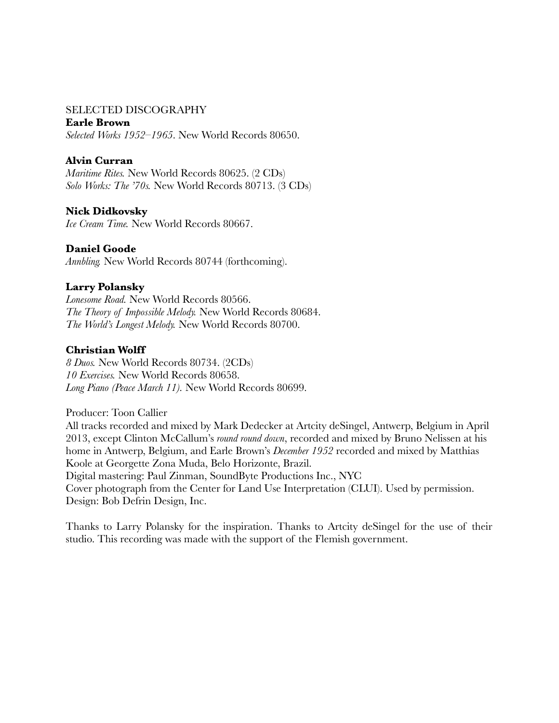#### SELECTED DISCOGRAPHY

#### **Earle Brown**

*Selected Works 1952–1965*. New World Records 80650.

### **Alvin Curran**

*Maritime Rites.* New World Records 80625. (2 CDs) *Solo Works: The '70s.* New World Records 80713. (3 CDs)

### **Nick Didkovsky**

*Ice Cream Time.* New World Records 80667.

### **Daniel Goode**

*Annbling.* New World Records 80744 (forthcoming).

#### **Larry Polansky**

*Lonesome Road.* New World Records 80566. *The Theory of Impossible Melody.* New World Records 80684. *The World's Longest Melody.* New World Records 80700.

### **Christian Wolff**

*8 Duos.* New World Records 80734. (2CDs) *10 Exercises.* New World Records 80658. *Long Piano (Peace March 11).* New World Records 80699.

Producer: Toon Callier

All tracks recorded and mixed by Mark Dedecker at Artcity deSingel, Antwerp, Belgium in April 2013, except Clinton McCallum's *round round down*, recorded and mixed by Bruno Nelissen at his home in Antwerp, Belgium, and Earle Brown's *December 1952* recorded and mixed by Matthias Koole at Georgette Zona Muda, Belo Horizonte, Brazil. Digital mastering: Paul Zinman, SoundByte Productions Inc., NYC

Cover photograph from the Center for Land Use Interpretation (CLUI). Used by permission. Design: Bob Defrin Design, Inc.

Thanks to Larry Polansky for the inspiration. Thanks to Artcity deSingel for the use of their studio. This recording was made with the support of the Flemish government.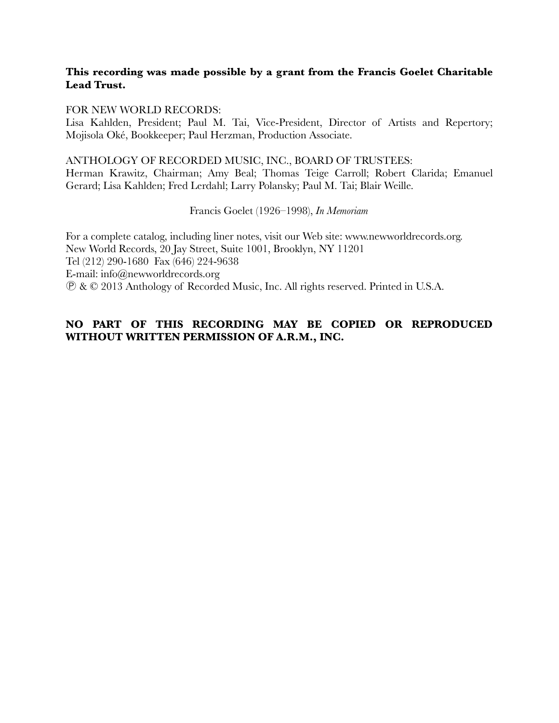### **This recording was made possible by a grant from the Francis Goelet Charitable Lead Trust.**

#### FOR NEW WORLD RECORDS:

Lisa Kahlden, President; Paul M. Tai, Vice-President, Director of Artists and Repertory; Mojisola Oké, Bookkeeper; Paul Herzman, Production Associate.

#### ANTHOLOGY OF RECORDED MUSIC, INC., BOARD OF TRUSTEES:

Herman Krawitz, Chairman; Amy Beal; Thomas Teige Carroll; Robert Clarida; Emanuel Gerard; Lisa Kahlden; Fred Lerdahl; Larry Polansky; Paul M. Tai; Blair Weille.

#### Francis Goelet (1926–1998), *In Memoriam*

For a complete catalog, including liner notes, visit our Web site: www.newworldrecords.org. New World Records, 20 Jay Street, Suite 1001, Brooklyn, NY 11201 Tel (212) 290-1680 Fax (646) 224-9638 E-mail: info@newworldrecords.org Ⓟ & © 2013 Anthology of Recorded Music, Inc. All rights reserved. Printed in U.S.A.

# **NO PART OF THIS RECORDING MAY BE COPIED OR REPRODUCED WITHOUT WRITTEN PERMISSION OF A.R.M., INC.**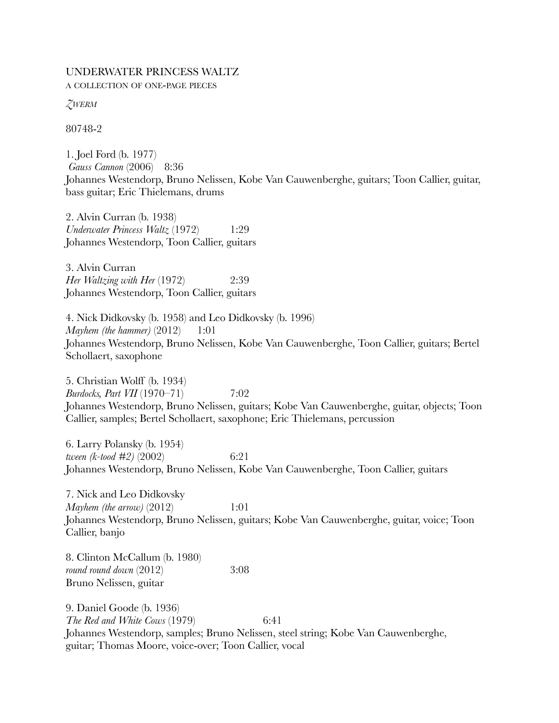#### UNDERWATER PRINCESS WALTZ A COLLECTION OF ONE-PAGE PIECES

*ZWERM*

80748-2

1. Joel Ford (b. 1977) *Gauss Cannon* (2006) 8:36 Johannes Westendorp, Bruno Nelissen, Kobe Van Cauwenberghe, guitars; Toon Callier, guitar, bass guitar; Eric Thielemans, drums

2. Alvin Curran (b. 1938) *Underwater Princess Waltz* (1972) 1:29 Johannes Westendorp, Toon Callier, guitars

3. Alvin Curran *Her Waltzing with Her* (1972) 2:39 Johannes Westendorp, Toon Callier, guitars

4. Nick Didkovsky (b. 1958) and Leo Didkovsky (b. 1996) *Mayhem (the hammer)* (2012) 1:01 Johannes Westendorp, Bruno Nelissen, Kobe Van Cauwenberghe, Toon Callier, guitars; Bertel Schollaert, saxophone

5. Christian Wolff (b. 1934) *Burdocks, Part VII* (1970–71) 7:02 Johannes Westendorp, Bruno Nelissen, guitars; Kobe Van Cauwenberghe, guitar, objects; Toon Callier, samples; Bertel Schollaert, saxophone; Eric Thielemans, percussion

6. Larry Polansky (b. 1954) *tween (k-tood #2)* (2002) 6:21 Johannes Westendorp, Bruno Nelissen, Kobe Van Cauwenberghe, Toon Callier, guitars

7. Nick and Leo Didkovsky *Mayhem (the arrow)* (2012) 1:01 Johannes Westendorp, Bruno Nelissen, guitars; Kobe Van Cauwenberghe, guitar, voice; Toon Callier, banjo

8. Clinton McCallum (b. 1980) *round round down* (2012) 3:08 Bruno Nelissen, guitar

9. Daniel Goode (b. 1936) *The Red and White Cows* (1979) 6:41 Johannes Westendorp, samples; Bruno Nelissen, steel string; Kobe Van Cauwenberghe, guitar; Thomas Moore, voice-over; Toon Callier, vocal